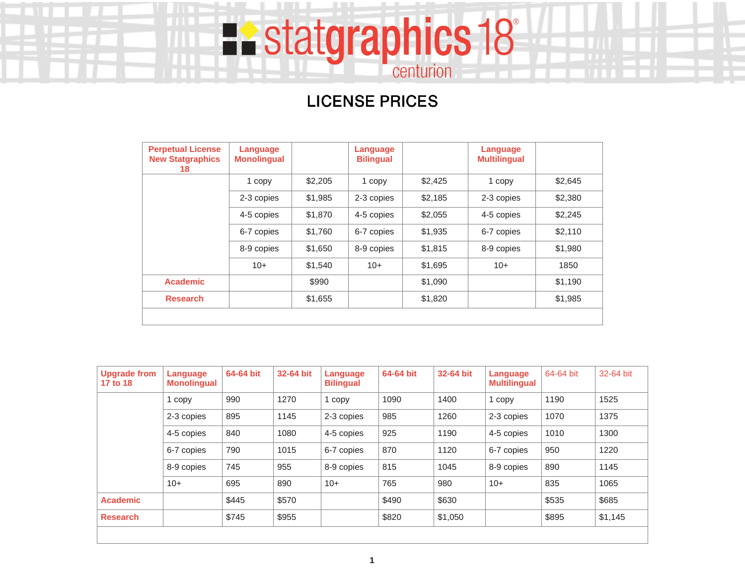# **LICENSE PRICES**

**Existatgraphics 18** 

| <b>Perpetual License</b><br><b>New Statgraphics</b><br>18 | Language<br><b>Monolingual</b> |         | Language<br><b>Bilingual</b> |         | Language<br><b>Multilingual</b> |         |
|-----------------------------------------------------------|--------------------------------|---------|------------------------------|---------|---------------------------------|---------|
|                                                           | 1 copy                         | \$2,205 | 1 copy                       | \$2,425 | 1 copy                          | \$2,645 |
|                                                           | 2-3 copies                     | \$1,985 | 2-3 copies                   | \$2,185 | 2-3 copies                      | \$2,380 |
|                                                           | 4-5 copies                     | \$1,870 | 4-5 copies                   | \$2,055 | 4-5 copies                      | \$2,245 |
|                                                           | 6-7 copies                     | \$1,760 | 6-7 copies                   | \$1,935 | 6-7 copies                      | \$2,110 |
|                                                           | 8-9 copies                     | \$1,650 | 8-9 copies                   | \$1,815 | 8-9 copies                      | \$1,980 |
|                                                           | $10+$                          | \$1.540 | $10+$                        | \$1,695 | $10+$                           | 1850    |
| <b>Academic</b>                                           |                                | \$990   |                              | \$1,090 |                                 | \$1,190 |
| <b>Research</b>                                           |                                | \$1,655 |                              | \$1,820 |                                 | \$1,985 |
|                                                           |                                |         |                              |         |                                 |         |

| <b>Upgrade from</b><br>17 to 18 | Language<br><b>Monolingual</b> | 64-64 bit | 32-64 bit | Language<br><b>Bilingual</b> | 64-64 bit | 32-64 bit | Language<br><b>Multilingual</b> | 64-64 bit | 32-64 bit |
|---------------------------------|--------------------------------|-----------|-----------|------------------------------|-----------|-----------|---------------------------------|-----------|-----------|
|                                 | 1 copy                         | 990       | 1270      | 1 copy                       | 1090      | 1400      | 1 copy                          | 1190      | 1525      |
|                                 | 2-3 copies                     | 895       | 1145      | 2-3 copies                   | 985       | 1260      | 2-3 copies                      | 1070      | 1375      |
|                                 | 4-5 copies                     | 840       | 1080      | 4-5 copies                   | 925       | 1190      | 4-5 copies                      | 1010      | 1300      |
|                                 | 6-7 copies                     | 790       | 1015      | 6-7 copies                   | 870       | 1120      | 6-7 copies                      | 950       | 1220      |
|                                 | 8-9 copies                     | 745       | 955       | 8-9 copies                   | 815       | 1045      | 8-9 copies                      | 890       | 1145      |
|                                 | $10+$                          | 695       | 890       | $10+$                        | 765       | 980       | $10+$                           | 835       | 1065      |
| <b>Academic</b>                 |                                | \$445     | \$570     |                              | \$490     | \$630     |                                 | \$535     | \$685     |
| <b>Research</b>                 |                                | \$745     | \$955     |                              | \$820     | \$1,050   |                                 | \$895     | \$1,145   |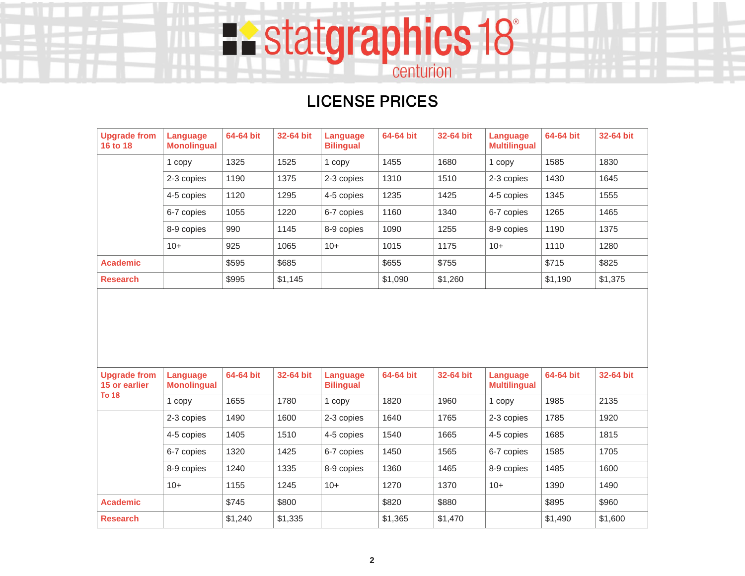## **LICENSE PRICES**

**Existatgraphics 18** 

| <b>Upgrade from</b><br>16 to 18      | Language<br><b>Monolingual</b> | 64-64 bit | 32-64 bit | Language<br><b>Bilingual</b> | 64-64 bit | 32-64 bit | Language<br><b>Multilingual</b> | 64-64 bit | 32-64 bit |
|--------------------------------------|--------------------------------|-----------|-----------|------------------------------|-----------|-----------|---------------------------------|-----------|-----------|
|                                      | 1 copy                         | 1325      | 1525      | 1 copy                       | 1455      | 1680      | 1 copy                          | 1585      | 1830      |
|                                      | 2-3 copies                     | 1190      | 1375      | 2-3 copies                   | 1310      | 1510      | 2-3 copies                      | 1430      | 1645      |
|                                      | 4-5 copies                     | 1120      | 1295      | 4-5 copies                   | 1235      | 1425      | 4-5 copies                      | 1345      | 1555      |
|                                      | 6-7 copies                     | 1055      | 1220      | 6-7 copies                   | 1160      | 1340      | 6-7 copies                      | 1265      | 1465      |
|                                      | 8-9 copies                     | 990       | 1145      | 8-9 copies                   | 1090      | 1255      | 8-9 copies                      | 1190      | 1375      |
|                                      | $10+$                          | 925       | 1065      | $10+$                        | 1015      | 1175      | $10+$                           | 1110      | 1280      |
| <b>Academic</b>                      |                                | \$595     | \$685     |                              | \$655     | \$755     |                                 | \$715     | \$825     |
| <b>Research</b>                      |                                | \$995     | \$1,145   |                              | \$1,090   | \$1,260   |                                 | \$1,190   | \$1,375   |
|                                      |                                |           |           |                              |           |           |                                 |           |           |
|                                      |                                |           |           |                              |           |           |                                 |           |           |
| <b>Upgrade from</b><br>15 or earlier | Language<br><b>Monolingual</b> | 64-64 bit | 32-64 bit | Language<br><b>Bilingual</b> | 64-64 bit | 32-64 bit | Language<br><b>Multilingual</b> | 64-64 bit | 32-64 bit |
| <b>To 18</b>                         | 1 copy                         | 1655      | 1780      | 1 copy                       | 1820      | 1960      | 1 copy                          | 1985      | 2135      |
|                                      | 2-3 copies                     | 1490      | 1600      | 2-3 copies                   | 1640      | 1765      | 2-3 copies                      | 1785      | 1920      |
|                                      | 4-5 copies                     | 1405      | 1510      | 4-5 copies                   | 1540      | 1665      | 4-5 copies                      | 1685      | 1815      |
|                                      | 6-7 copies                     | 1320      | 1425      | 6-7 copies                   | 1450      | 1565      | 6-7 copies                      | 1585      | 1705      |
|                                      | 8-9 copies                     | 1240      | 1335      | 8-9 copies                   | 1360      | 1465      | 8-9 copies                      | 1485      | 1600      |
|                                      | $10+$                          | 1155      | 1245      | $10+$                        | 1270      | 1370      | $10+$                           | 1390      | 1490      |
| <b>Academic</b>                      |                                | \$745     | \$800     |                              | \$820     | \$880     |                                 | \$895     | \$960     |